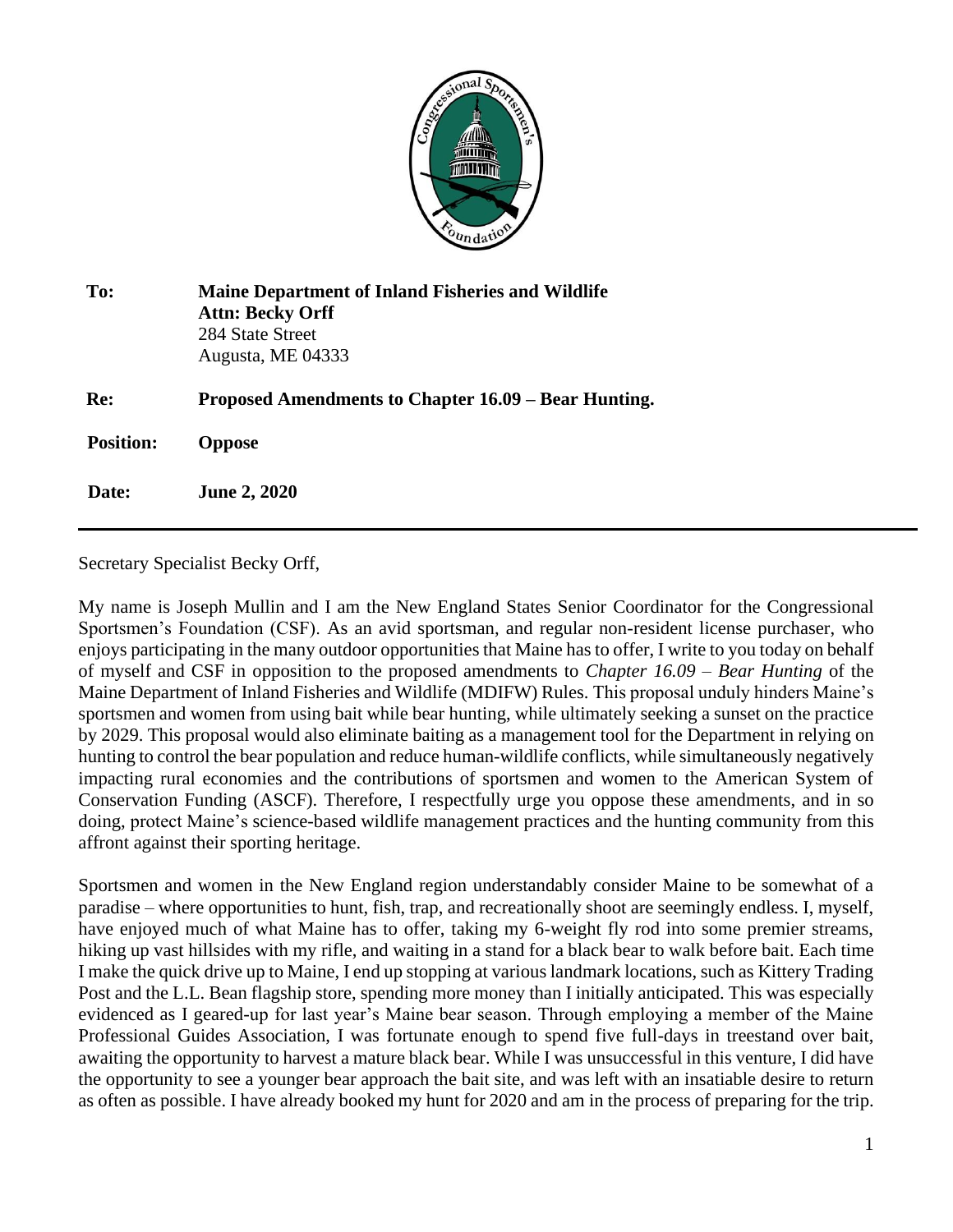

| To:              | <b>Maine Department of Inland Fisheries and Wildlife</b><br><b>Attn: Becky Orff</b><br>284 State Street<br>Augusta, ME 04333 |
|------------------|------------------------------------------------------------------------------------------------------------------------------|
| Re:              | Proposed Amendments to Chapter 16.09 – Bear Hunting.                                                                         |
| <b>Position:</b> | <b>Oppose</b>                                                                                                                |
| Date:            | <b>June 2, 2020</b>                                                                                                          |

Secretary Specialist Becky Orff,

My name is Joseph Mullin and I am the New England States Senior Coordinator for the Congressional Sportsmen's Foundation (CSF). As an avid sportsman, and regular non-resident license purchaser, who enjoys participating in the many outdoor opportunities that Maine has to offer, I write to you today on behalf of myself and CSF in opposition to the proposed amendments to *Chapter 16.09 – Bear Hunting* of the Maine Department of Inland Fisheries and Wildlife (MDIFW) Rules. This proposal unduly hinders Maine's sportsmen and women from using bait while bear hunting, while ultimately seeking a sunset on the practice by 2029. This proposal would also eliminate baiting as a management tool for the Department in relying on hunting to control the bear population and reduce human-wildlife conflicts, while simultaneously negatively impacting rural economies and the contributions of sportsmen and women to the American System of Conservation Funding (ASCF). Therefore, I respectfully urge you oppose these amendments, and in so doing, protect Maine's science-based wildlife management practices and the hunting community from this affront against their sporting heritage.

Sportsmen and women in the New England region understandably consider Maine to be somewhat of a paradise – where opportunities to hunt, fish, trap, and recreationally shoot are seemingly endless. I, myself, have enjoyed much of what Maine has to offer, taking my 6-weight fly rod into some premier streams, hiking up vast hillsides with my rifle, and waiting in a stand for a black bear to walk before bait. Each time I make the quick drive up to Maine, I end up stopping at various landmark locations, such as Kittery Trading Post and the L.L. Bean flagship store, spending more money than I initially anticipated. This was especially evidenced as I geared-up for last year's Maine bear season. Through employing a member of the Maine Professional Guides Association, I was fortunate enough to spend five full-days in treestand over bait, awaiting the opportunity to harvest a mature black bear. While I was unsuccessful in this venture, I did have the opportunity to see a younger bear approach the bait site, and was left with an insatiable desire to return as often as possible. I have already booked my hunt for 2020 and am in the process of preparing for the trip.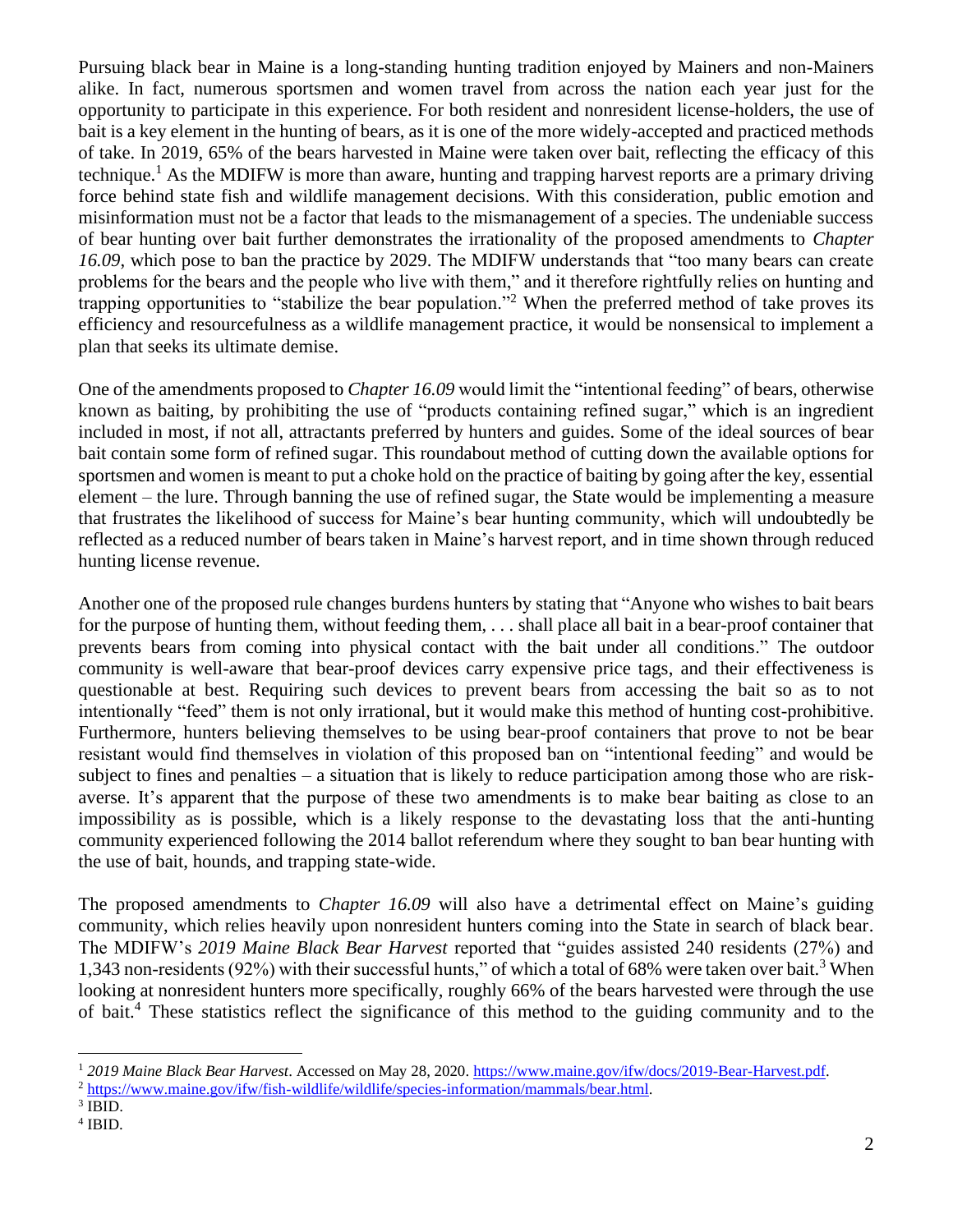Pursuing black bear in Maine is a long-standing hunting tradition enjoyed by Mainers and non-Mainers alike. In fact, numerous sportsmen and women travel from across the nation each year just for the opportunity to participate in this experience. For both resident and nonresident license-holders, the use of bait is a key element in the hunting of bears, as it is one of the more widely-accepted and practiced methods of take. In 2019, 65% of the bears harvested in Maine were taken over bait, reflecting the efficacy of this technique. <sup>1</sup> As the MDIFW is more than aware, hunting and trapping harvest reports are a primary driving force behind state fish and wildlife management decisions. With this consideration, public emotion and misinformation must not be a factor that leads to the mismanagement of a species. The undeniable success of bear hunting over bait further demonstrates the irrationality of the proposed amendments to *Chapter 16.09*, which pose to ban the practice by 2029. The MDIFW understands that "too many bears can create problems for the bears and the people who live with them," and it therefore rightfully relies on hunting and trapping opportunities to "stabilize the bear population."<sup>2</sup> When the preferred method of take proves its efficiency and resourcefulness as a wildlife management practice, it would be nonsensical to implement a plan that seeks its ultimate demise.

One of the amendments proposed to *Chapter 16.09* would limit the "intentional feeding" of bears, otherwise known as baiting, by prohibiting the use of "products containing refined sugar," which is an ingredient included in most, if not all, attractants preferred by hunters and guides. Some of the ideal sources of bear bait contain some form of refined sugar. This roundabout method of cutting down the available options for sportsmen and women is meant to put a choke hold on the practice of baiting by going after the key, essential element – the lure. Through banning the use of refined sugar, the State would be implementing a measure that frustrates the likelihood of success for Maine's bear hunting community, which will undoubtedly be reflected as a reduced number of bears taken in Maine's harvest report, and in time shown through reduced hunting license revenue.

Another one of the proposed rule changes burdens hunters by stating that "Anyone who wishes to bait bears for the purpose of hunting them, without feeding them, . . . shall place all bait in a bear-proof container that prevents bears from coming into physical contact with the bait under all conditions." The outdoor community is well-aware that bear-proof devices carry expensive price tags, and their effectiveness is questionable at best. Requiring such devices to prevent bears from accessing the bait so as to not intentionally "feed" them is not only irrational, but it would make this method of hunting cost-prohibitive. Furthermore, hunters believing themselves to be using bear-proof containers that prove to not be bear resistant would find themselves in violation of this proposed ban on "intentional feeding" and would be subject to fines and penalties – a situation that is likely to reduce participation among those who are riskaverse. It's apparent that the purpose of these two amendments is to make bear baiting as close to an impossibility as is possible, which is a likely response to the devastating loss that the anti-hunting community experienced following the 2014 ballot referendum where they sought to ban bear hunting with the use of bait, hounds, and trapping state-wide.

The proposed amendments to *Chapter 16.09* will also have a detrimental effect on Maine's guiding community, which relies heavily upon nonresident hunters coming into the State in search of black bear. The MDIFW's *2019 Maine Black Bear Harvest* reported that "guides assisted 240 residents (27%) and 1,343 non-residents (92%) with their successful hunts," of which a total of 68% were taken over bait.<sup>3</sup> When looking at nonresident hunters more specifically, roughly 66% of the bears harvested were through the use of bait. <sup>4</sup> These statistics reflect the significance of this method to the guiding community and to the

<sup>1</sup> *2019 Maine Black Bear Harvest*. Accessed on May 28, 2020. [https://www.maine.gov/ifw/docs/2019-Bear-Harvest.pdf.](https://www.maine.gov/ifw/docs/2019-Bear-Harvest.pdf) <sup>2</sup> [https://www.maine.gov/ifw/fish-wildlife/wildlife/species-information/mammals/bear.html.](https://www.maine.gov/ifw/fish-wildlife/wildlife/species-information/mammals/bear.html)

 $3$  IBID.

<sup>4</sup> IBID.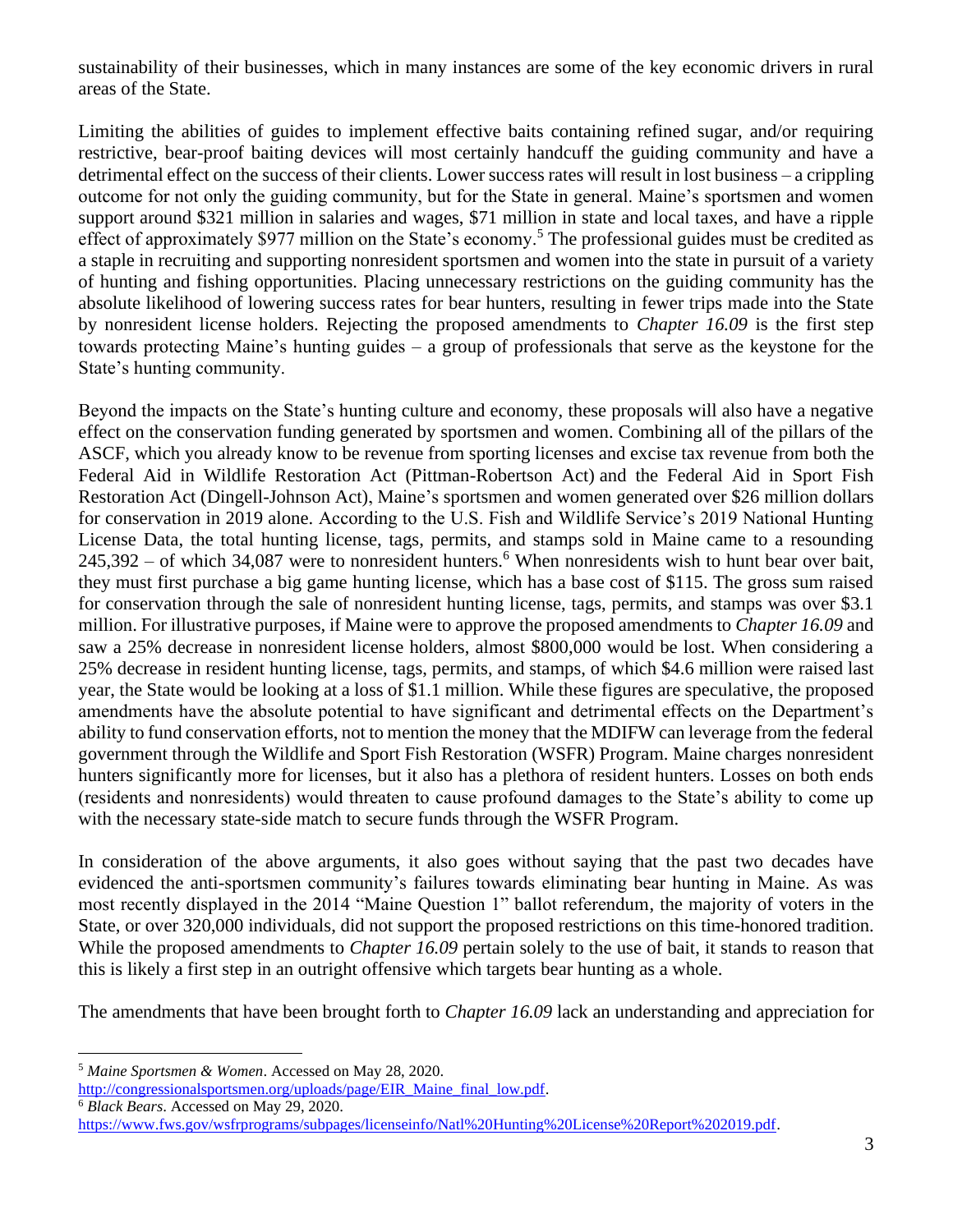sustainability of their businesses, which in many instances are some of the key economic drivers in rural areas of the State.

Limiting the abilities of guides to implement effective baits containing refined sugar, and/or requiring restrictive, bear-proof baiting devices will most certainly handcuff the guiding community and have a detrimental effect on the success of their clients. Lower success rates will result in lost business – a crippling outcome for not only the guiding community, but for the State in general. Maine's sportsmen and women support around \$321 million in salaries and wages, \$71 million in state and local taxes, and have a ripple effect of approximately \$977 million on the State's economy.<sup>5</sup> The professional guides must be credited as a staple in recruiting and supporting nonresident sportsmen and women into the state in pursuit of a variety of hunting and fishing opportunities. Placing unnecessary restrictions on the guiding community has the absolute likelihood of lowering success rates for bear hunters, resulting in fewer trips made into the State by nonresident license holders. Rejecting the proposed amendments to *Chapter 16.09* is the first step towards protecting Maine's hunting guides – a group of professionals that serve as the keystone for the State's hunting community.

Beyond the impacts on the State's hunting culture and economy, these proposals will also have a negative effect on the conservation funding generated by sportsmen and women. Combining all of the pillars of the ASCF, which you already know to be revenue from sporting licenses and excise tax revenue from both the Federal Aid in Wildlife Restoration Act (Pittman-Robertson Act) and the Federal Aid in Sport Fish Restoration Act (Dingell-Johnson Act), Maine's sportsmen and women generated over \$26 million dollars for conservation in 2019 alone. According to the U.S. Fish and Wildlife Service's 2019 National Hunting License Data, the total hunting license, tags, permits, and stamps sold in Maine came to a resounding  $245,392$  – of which 34,087 were to nonresident hunters.<sup>6</sup> When nonresidents wish to hunt bear over bait, they must first purchase a big game hunting license, which has a base cost of \$115. The gross sum raised for conservation through the sale of nonresident hunting license, tags, permits, and stamps was over \$3.1 million. For illustrative purposes, if Maine were to approve the proposed amendments to *Chapter 16.09* and saw a 25% decrease in nonresident license holders, almost \$800,000 would be lost. When considering a 25% decrease in resident hunting license, tags, permits, and stamps, of which \$4.6 million were raised last year, the State would be looking at a loss of \$1.1 million. While these figures are speculative, the proposed amendments have the absolute potential to have significant and detrimental effects on the Department's ability to fund conservation efforts, not to mention the money that the MDIFW can leverage from the federal government through the Wildlife and Sport Fish Restoration (WSFR) Program. Maine charges nonresident hunters significantly more for licenses, but it also has a plethora of resident hunters. Losses on both ends (residents and nonresidents) would threaten to cause profound damages to the State's ability to come up with the necessary state-side match to secure funds through the WSFR Program.

In consideration of the above arguments, it also goes without saying that the past two decades have evidenced the anti-sportsmen community's failures towards eliminating bear hunting in Maine. As was most recently displayed in the 2014 "Maine Question 1" ballot referendum, the majority of voters in the State, or over 320,000 individuals, did not support the proposed restrictions on this time-honored tradition. While the proposed amendments to *Chapter 16.09* pertain solely to the use of bait, it stands to reason that this is likely a first step in an outright offensive which targets bear hunting as a whole.

The amendments that have been brought forth to *Chapter 16.09* lack an understanding and appreciation for

<sup>6</sup> *Black Bears*. Accessed on May 29, 2020.

<sup>5</sup> *Maine Sportsmen & Women*. Accessed on May 28, 2020.

[http://congressionalsportsmen.org/uploads/page/EIR\\_Maine\\_final\\_low.pdf.](http://congressionalsportsmen.org/uploads/page/EIR_Maine_final_low.pdf)

[https://www.fws.gov/wsfrprograms/subpages/licenseinfo/Natl%20Hunting%20License%20Report%202019.pdf.](https://www.fws.gov/wsfrprograms/subpages/licenseinfo/Natl%20Hunting%20License%20Report%202019.pdf)